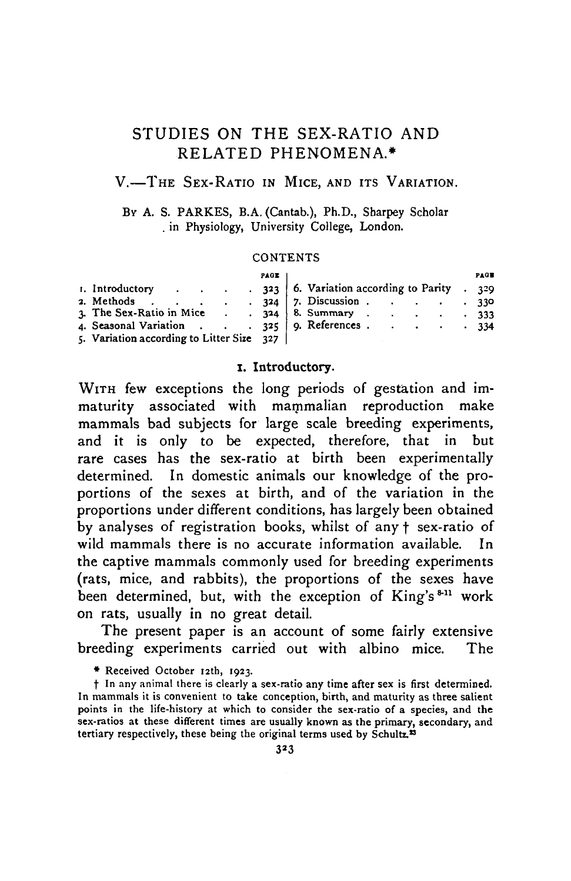### STUDIES ON THE SEX-RATIO AND RELATED PHENOMENA.\*

### V.—THE SEX-RATIO IN MICE, AND ITS VARIATION.

BY A. S. PARKES, B.A. (Cantab.), Ph.D., Sharpey Scholar . in Physiology, University College, London.

#### **CONTENTS**

|                                                 | PAGE |                                                                                                                                                                                           | PAGE |
|-------------------------------------------------|------|-------------------------------------------------------------------------------------------------------------------------------------------------------------------------------------------|------|
| 2. Methods .<br>the contract of the contract of |      | 1. Introductory 323   6. Variation according to Parity . 329<br>$324$ 7. Discussion 330<br>3. The Sex-Ratio in Mice 324   8. Summary 333<br>4. Seasonal Variation 325   9. References 334 |      |
| 5. Variation according to Litter Size 327       |      |                                                                                                                                                                                           |      |

#### **1. Introductory.**

WITH few exceptions the long periods of gestation and immaturity associated with mammalian reproduction make mammals bad subjects for large scale breeding experiments, and it is only to be expected, therefore, that in but rare cases has the sex-ratio at birth been experimentally determined. In domestic animals our knowledge of the proportions of the sexes at birth, and of the variation in the proportions under different conditions, has largely been obtained by analyses of registration books, whilst of any f sex-ratio of wild mammals there is no accurate information available. In the captive mammals commonly used for breeding experiments (rats, mice, and rabbits), the proportions of the sexes have been determined, but, with the exception of King's<sup>8-11</sup> work on rats, usually in no great detail.

The present paper is an account of some fairly extensive breeding experiments carried out with albino mice. The

• Received October 12th, 1923.

t In any animal there is clearly a sex-ratio any time after sex is first determined. In mammals it is convenient to take conception, birth, and maturity as three salient points in the life-history at which to consider the sex-ratio of a species, and the sex-ratios at these different times are usually known as the primary, secondary, and tertiary respectively, these being the original terms used by Schultz.<sup>23</sup>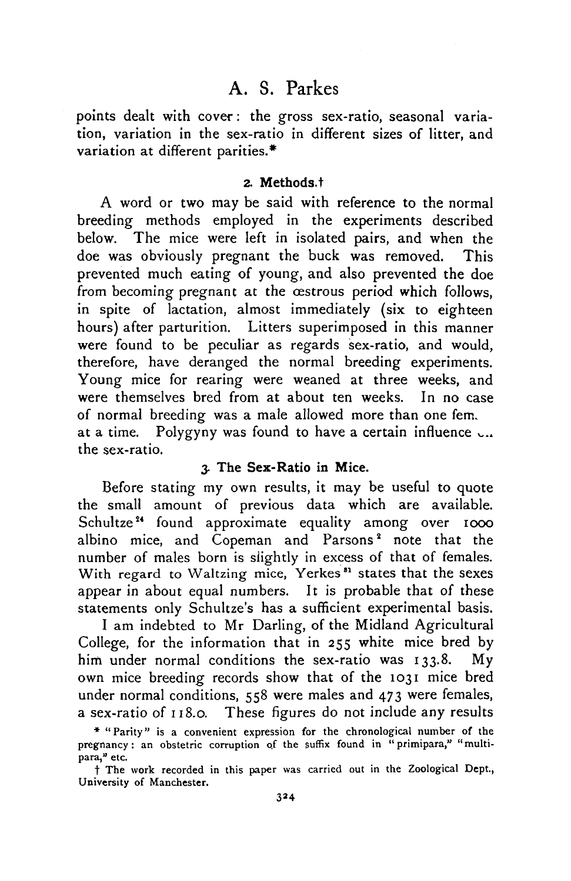points dealt with cover: the gross sex-ratio, seasonal variation, variation in the sex-ratio in different sizes of litter, and variation at different parities.\*

### **2. Methods.**t

A word or two may be said with reference to the normal breeding methods employed in the experiments described below. The mice were left in isolated pairs, and when the doe was obviously pregnant the buck was removed. This prevented much eating of young, and also prevented the doe from becoming pregnant at the cestrous period which follows, in spite of lactation, almost immediately (six to eighteen hours) after parturition. Litters superimposed in this manner were found to be peculiar as regards sex-ratio, and would, therefore, have deranged the normal breeding experiments. Young mice for rearing were weaned at three weeks, and were themselves bred from at about ten weeks. In no case of normal breeding was a male allowed more than one fem. at a time. Polygyny was found to have a certain influence  $\cup$ ... the sex-ratio.

### **3.** The **Sex-Ratio in Mice.**

Before stating my own results, it may be useful to quote the small amount of previous data which are available. Schultze<sup>24</sup> found approximate equality among over 1000 albino mice, and Copeman and Parsons<sup>2</sup> note that the number of males born is slightly in excess of that of females. With regard to Waltzing mice, Yerkes<sup>31</sup> states that the sexes appear in about equal numbers. It is probable that of these statements only Schultze's has a sufficient experimental basis.

I am indebted to Mr Darling, of the Midland Agricultural College, for the information that in 255 white mice bred by him under normal conditions the sex-ratio was 133.8. My own mice breeding records show that of the 1031 mice bred under normal conditions, 558 were males and 473 were females, a sex-ratio of 118.0. These figures do not include any results

<sup>\* &</sup>quot;Parity" is a convenient expression for the chronological number of the pregnancy: an obstetric corruption of the suffix found in "primipara," "multipara," etc.

t The work recorded in this paper was carried out in the Zoological Dept., University of Manchester.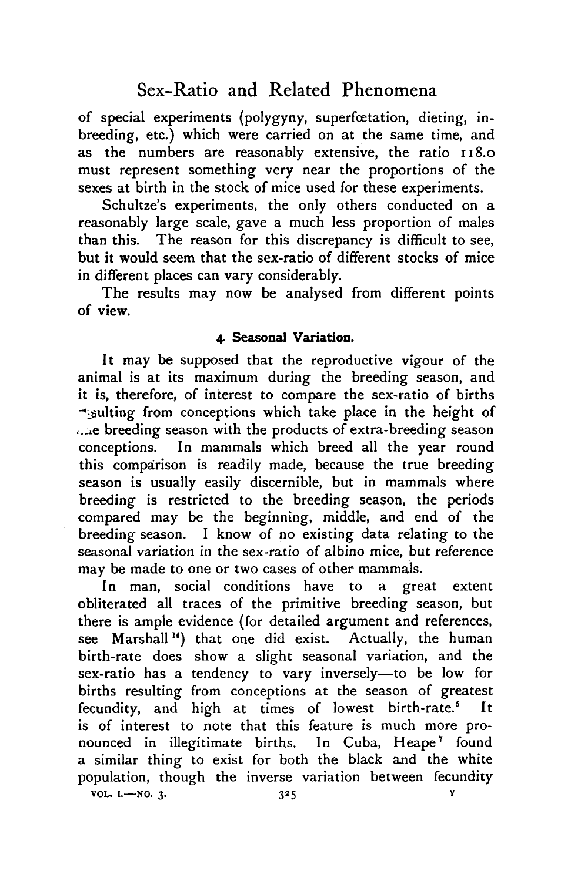of special experiments (polygyny, superfoetation, dieting, inbreeding, etc.) which were carried on at the same time, and as the numbers are reasonably extensive, the ratio 118.0 must represent something very near the proportions of the sexes at birth in the stock of mice used for these experiments.

Schultze's experiments, the only others conducted on a reasonably large scale, gave a much less proportion of males than this. The reason for this discrepancy is difficult to see, but it would seem that the sex-ratio of different stocks of mice in different places can vary considerably.

The results may now be analysed from different points of **view.**

### **4. Seasonal Variation.**

**It** may be supposed that the reproductive vigour of the animal is at its maximum during the breeding season, and it is, therefore, of interest to compare the sex-ratio of births  $\rightarrow$  sulting from conceptions which take place in the height of ...e breeding season with the products of extra-breeding season conceptions. In mammals which breed all the year round this comparison is readily made, because the true breeding season is usually easily discernible, but in mammals where breeding is restricted to the breeding season, the periods compared may be the beginning, middle, and end of the breeding season. I know of no existing data relating to the seasonal variation in the sex-ratio of albino mice, but reference may be made to one or two cases of other mammals.

In man, social conditions have to a great extent obliterated all traces of the primitive breeding season, but there is ample evidence (for detailed argument and references, see Marshall<sup>14</sup>) that one did exist. Actually, the human birth-rate does show a slight seasonal variation, and the sex-ratio has a tendency to vary inversely—to be low for births resulting from conceptions at the season of greatest fecundity, and high at times of lowest birth-rate.<sup>6</sup> It is of interest to note that this feature is much more pronounced in illegitimate births. In Cuba, Heape<sup>7</sup> found a similar thing to exist for both the black and the white population, though the inverse variation between fecundity VOL. 1.—NO. 3. 325 v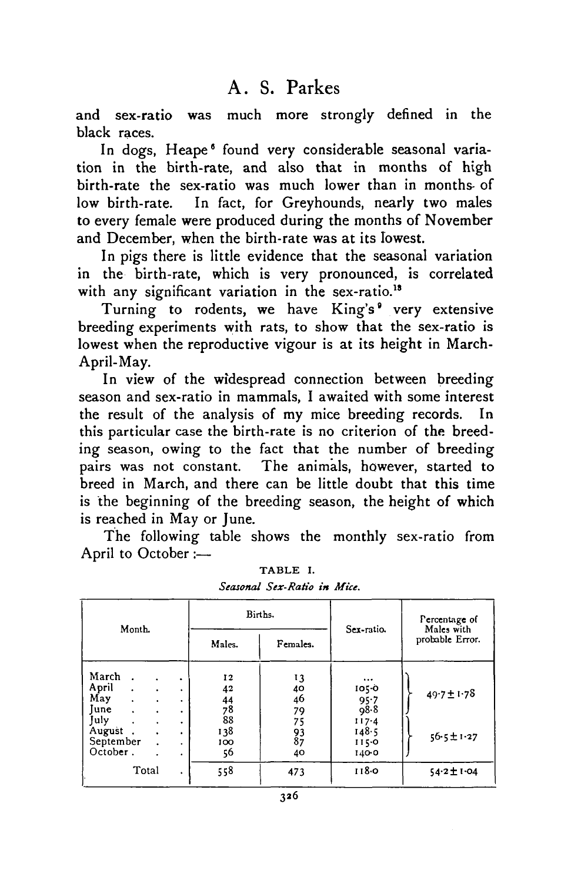and sex-ratio was much more strongly defined in the black races.

In dogs, Heape<sup>6</sup> found very considerable seasonal variation in the birth-rate, and also that in months of high birth-rate the sex-ratio was much lower than in months- of low birth-rate. In fact, for Greyhounds, nearly two males to every female were produced during the months of November and December, when the birth-rate was at its lowest.

In pigs there is little evidence that the seasonal variation in the birth-rate, which is very pronounced, is correlated with any significant variation in the sex-ratio.<sup>18</sup>

Turning to rodents, we have King's<sup>°</sup> very extensive breeding experiments with rats, to show that the sex-ratio is lowest when the reproductive vigour is at its height in March-April-May.

In view of the widespread connection between breeding season and sex-ratio in mammals, I awaited with some interest the result of the analysis of my mice breeding records. In this particular case the birth-rate is no criterion of the breeding season, owing to the fact that the number of breeding pairs was not constant. The animals, however, started to breed in March, and there can be little doubt that this time is the beginning of the breeding season, the height of which is reached in May or June.

The following table shows the monthly sex-ratio from April to October :—

| Month.                                                                                                                                                                  |                                         |                                                       | Births.                                      | Sex-ratio.                                                         | Percentage of                 |  |
|-------------------------------------------------------------------------------------------------------------------------------------------------------------------------|-----------------------------------------|-------------------------------------------------------|----------------------------------------------|--------------------------------------------------------------------|-------------------------------|--|
|                                                                                                                                                                         |                                         | Males.<br>Females.                                    |                                              |                                                                    | Males with<br>probable Error. |  |
| March<br>April<br>$\bullet$<br>May<br>$\ddot{\phantom{0}}$<br><b>Iune</b><br>$\ddot{\phantom{a}}$<br>$\bullet$<br>July<br>$\bullet$<br>August.<br>September<br>October. | ٠<br>۰<br>٠<br>٠<br>٠<br>$\bullet$<br>٠ | 12<br>42<br>$\frac{44}{78}$<br>88<br>138<br>100<br>56 | 13<br>40<br>46<br>79<br>75<br>93<br>87<br>40 | $\cdots$<br>1050<br>95.7<br>98.8<br>117.4<br>148.5<br>1150<br>1400 | $49.7 \pm 1.78$<br>56-5±1-27  |  |
| Total                                                                                                                                                                   | ٠                                       | 558                                                   | 473                                          | 118.0                                                              | 54-2土1-04                     |  |

TABLE I. *Seasonal Sex-Ratio in Mice.*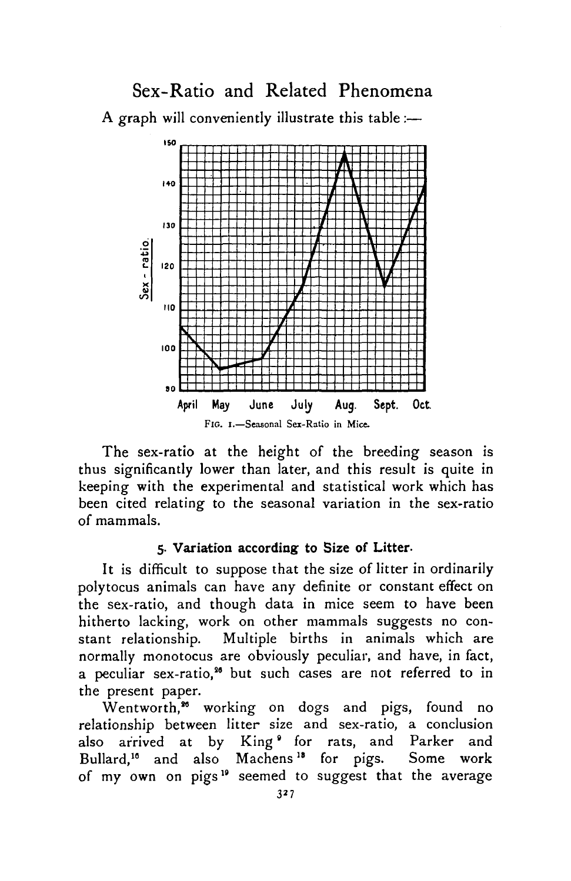Sex-Ratio and Related Phenomena A graph will conveniently illustrate this table:—



The sex-ratio at the height of the breeding season is thus significantly lower than later, and this result is quite in keeping with the experimental and statistical work which has been cited relating to the seasonal variation in the sex-ratio of mammals.

#### **5. Variation according to Size of Litter-**

**It** is difficult to suppose that the size of litter in ordinarily polytocus animals can have any definite or constant effect on the sex-ratio, and though data in mice seem to have been hitherto lacking, work on other mammals suggests no constant relationship. Multiple births in animals which are normally monotocus are obviously peculiar, and have, in fact, a peculiar sex-ratio,<sup>36</sup> but such cases are not referred to in the present paper.

Wentworth,<sup>36</sup> working on dogs and pigs, found no relationship between litter size and sex-ratio, a conclusion also arrived at by King of or rats, and Parker and Bullard,<sup>16</sup> and also Machens<sup>18</sup> for pigs. Some work of my own on pigs<sup>19</sup> seemed to suggest that the average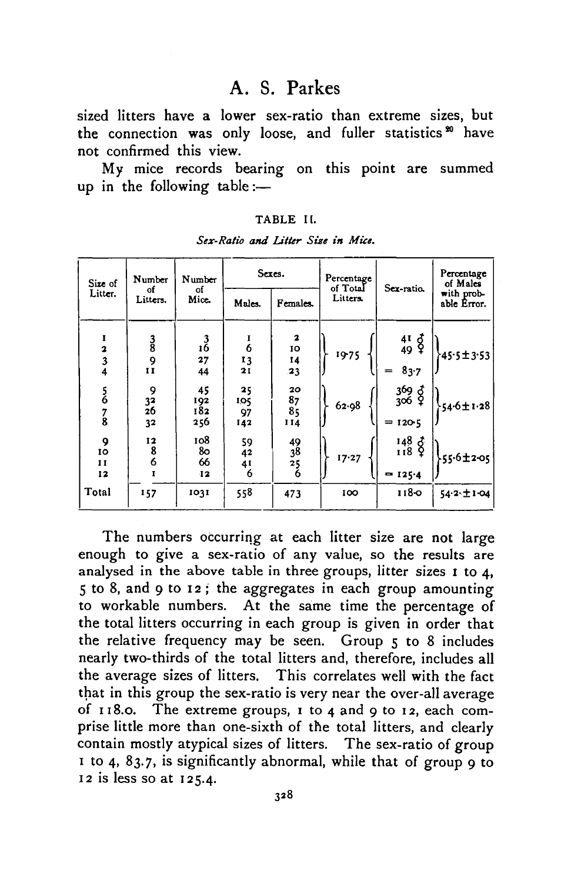sized litters have a lower sex-ratio than extreme sizes, but the connection was only loose, and fuller statistics<sup>20</sup> have not confirmed this view.

My mice records bearing on this point are summed up in the following table:—

| Size of                                         | Number<br>οf<br>Litters.                    | Number<br>of<br>Mice.   | Sexes.                                  |                            | Percentage<br>of Total | Sex-ratio.                                                              | Percentage<br>of Males    |
|-------------------------------------------------|---------------------------------------------|-------------------------|-----------------------------------------|----------------------------|------------------------|-------------------------------------------------------------------------|---------------------------|
| Litter.                                         |                                             |                         | Males.                                  | Females.                   | Litters.               |                                                                         | with prob-<br>able Error. |
| 1<br>$\begin{array}{c} 2 \\ 3 \\ 4 \end{array}$ | $\frac{3}{8}$<br>9                          | $\frac{3}{16}$<br>27    | ı<br>6                                  | $\mathbf{z}$<br>IO<br>14   | 1975                   | $\frac{41}{49}$ $\frac{3}{7}$                                           | 45.5±3.53                 |
|                                                 | $\mathbf{I}$                                | 44                      | $\begin{array}{c} 13 \\ 21 \end{array}$ | 23                         |                        | $= 83.7$                                                                |                           |
| $\frac{5}{6}$<br>$\frac{7}{8}$                  | $9$<br>$32$<br>$26$<br>32                   | 45<br>192<br>182<br>256 | 25<br>105<br>97<br>142                  | 20<br>87<br>85<br>114      | 62.98                  | 369 Z<br>306 P<br>$= 120 - 5$                                           | 54.6±1.28                 |
| 9<br>10<br>11<br>12                             | $\begin{array}{c} 12 \\ 8 \\ 6 \end{array}$ | 108<br>80<br>66<br>12   | 59<br>42<br>41<br>6                     | $\frac{49}{38}$<br>25<br>Ğ | 17.27                  | $\begin{smallmatrix} 148 & 7 \\ 118 & 9 \end{smallmatrix}$<br>$= 125.4$ | $-55 - 6 \pm 2 - 05$      |
| Total                                           | 157                                         | 1031                    | 558                                     | 473                        | 100                    | 118-0                                                                   | 54-2-土1-04                |

*Sex-Ratio and Litter Size in Mice.*

The numbers occurring at each litter size are not large enough to give a sex-ratio of any value, so the results are analysed in the above table in three groups, litter sizes I to 4, 5 to 8, and 9 to 12 ; the aggregates in each group amounting to workable numbers. At the same time the percentage of the total litters occurring in each group is given in order that the relative frequency may be seen. Group 5 to 8 includes nearly two-thirds of the total litters and, therefore, includes all the average sizes of litters. This correlates well with the fact that in this group the sex-ratio is very near the over-all average of 118.0. The extreme groups, 1 to 4 and 9 to 12, each comprise little more than one-sixth of the total litters, and clearly contain mostly atypical sizes of litters. The sex-ratio of group 1 to 4, 83.7, is significantly abnormal, while that of group 9 to 12 is less so at 125.4.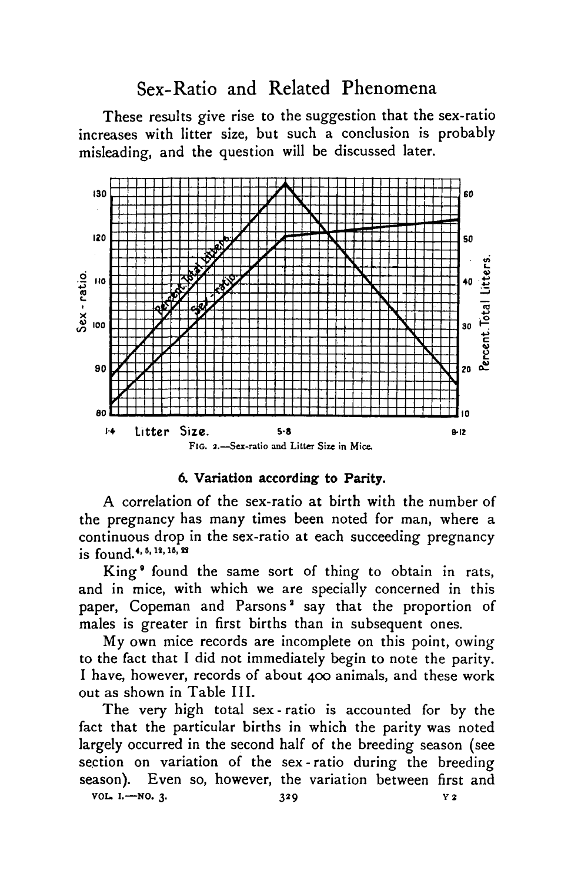## Sex-Ratio and Related Phenomena

These results give rise to the suggestion that the sex-ratio increases with litter size, but such a conclusion is probably misleading, and the question will be discussed later.



#### **6. Variation according to Parity.**

A correlation of the sex-ratio at birth with the number of the pregnancy has many times been noted for man, where a continuous drop in the sex-ratio at each succeeding pregnancy is found.<sup>4, 5, 12, 15, 22</sup>

King<sup>o</sup> found the same sort of thing to obtain in rats, and in mice, with which we are specially concerned in this paper, Copeman and Parsons<sup>2</sup> say that the proportion of males is greater in first births than in subsequent ones.

My own mice records are incomplete on this point, owing to the fact that I did not immediately begin to note the parity. I have, however, records of about 400 animals, and these work out as shown in Table III.

The very high total sex-ratio is accounted for by the fact that the particular births in which the parity was noted largely occurred in the second half of the breeding season (see section on variation of the sex-ratio during the breeding season). Even so, however, the variation between first and **VOL. 1.** —NO. 3. **329** v 2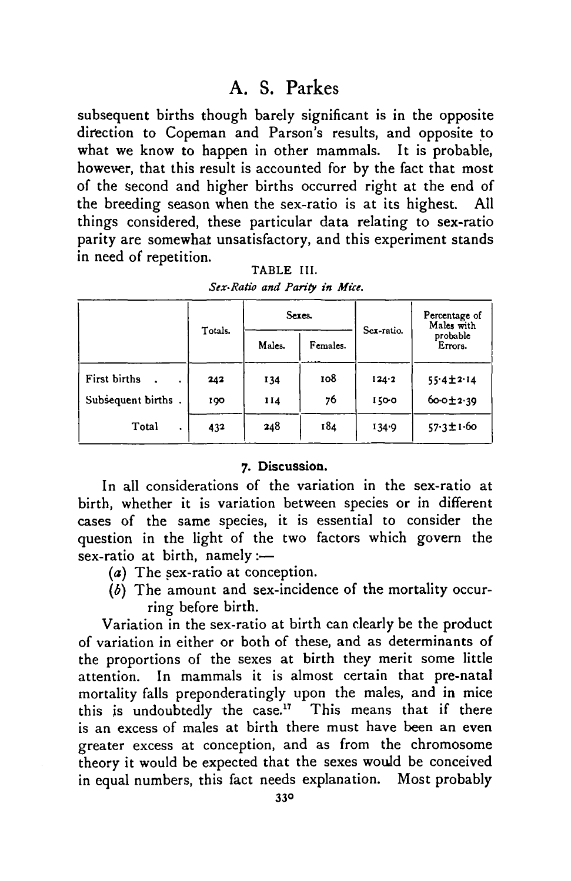subsequent births though barely significant is in the opposite direction to Copeman and Parson's results, and opposite to what we know to happen in other mammals. It is probable, however, that this result is accounted for by the fact that most of the second and higher births occurred right at the end of the breeding season when the sex-ratio is at its highest. things considered, these particular data relating to sex-ratio parity are somewhat unsatisfactory, and this experiment stands in need of repetition.

|                    | Totals. |        | Sexes.   | Sex-ratio. | Percentage of<br>Males with<br>probable<br>Errors. |
|--------------------|---------|--------|----------|------------|----------------------------------------------------|
|                    |         | Males. | Females. |            |                                                    |
| First births       | 242     | 134    | 108      | 124.2      | $55.4 \pm 2.14$                                    |
| Subsequent births. | 190     | 114    | 76       | 1500       | $60-012.39$                                        |
| Total<br>٠         | 432     | 248    | 184      | 134.9      | $57.3 \pm 1.60$                                    |

TABLE III. *Sex-Ratio and Parity in Mice.*

#### 7. Discussion.

In all considerations of the variation in the sex-ratio at birth, whether it is variation between species or in different cases of the same species, it is essential to consider the question in the light of the two factors which govern the sex-ratio at birth, namely:—

- (a) The sex-ratio at conception.
- *(6)* The amount and sex-incidence of the mortality occurring before birth.

Variation in the sex-ratio at birth can clearly be the product of variation in either or both of these, and as determinants of the proportions of the sexes at birth they merit some little attention. In mammals it is almost certain that pre-natal mortality falls preponderatingly upon the males, and in mice this is undoubtedly the case.<sup>17</sup> This means that if there is an excess of males at birth there must have been an even greater excess at conception, and as from the chromosome theory it would be expected that the sexes would be conceived in equal numbers, this fact needs explanation. Most probably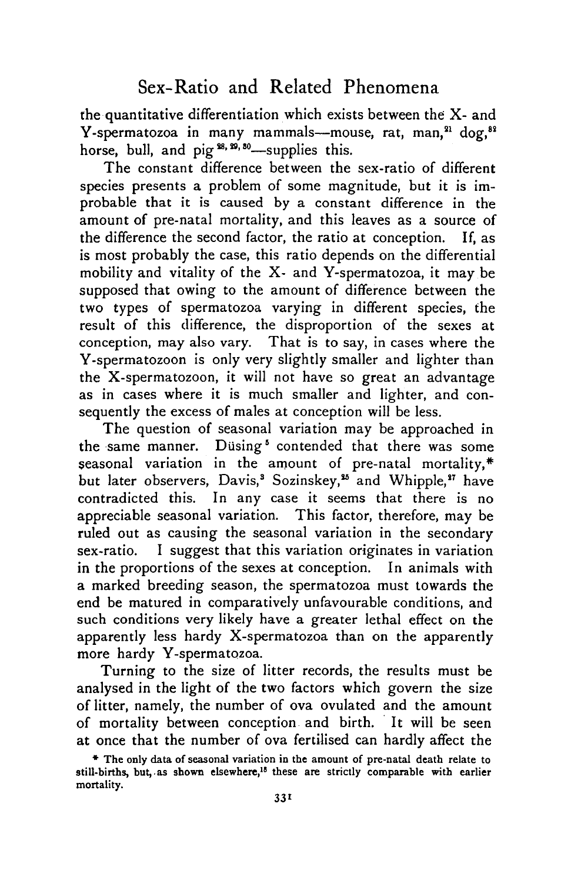## Sex-Ratio and Related Phenomena

the quantitative differentiation which exists between the X- and Y-spermatozoa in many mammals—mouse, rat, man,<sup>21</sup> dog,<sup>82</sup> horse, bull, and pig<sup>28, 29, 30</sup>-supplies this.

The constant difference between the sex-ratio of different species presents a problem of some magnitude, but it is improbable that it is caused by a constant difference in the amount of pre-natal mortality, and this leaves as a source of the difference the second factor, the ratio at conception. If, as is most probably the case, this ratio depends on the differential mobility and vitality of the X- and Y-spermatozoa, it may be supposed that owing to the amount of difference between the two types of spermatozoa varying in different species, the result of this difference, the disproportion of the sexes at conception, may also vary. That is to say, in cases where the Y-spermatozoon is only very slightly smaller and lighter than the X-spermatozoon, it will not have so great an advantage as in cases where it is much smaller and lighter, and consequently the excess of males at conception will be less.

The question of seasonal variation may be approached in the same manner. Düsing<sup>5</sup> contended that there was some seasonal variation in the amount of pre-natal mortality, $*$ but later observers, Davis,<sup>3</sup> Sozinskey,<sup>25</sup> and Whipple,<sup>27</sup> have contradicted this. In any case it seems that there is no appreciable seasonal variation. This factor, therefore, may be ruled out as causing the seasonal variation in the secondary sex-ratio. I suggest that this variation originates in variation in the proportions of the sexes at conception. In animals with a marked breeding season, the spermatozoa must towards the end be matured in comparatively unfavourable conditions, and such conditions very likely have a greater lethal effect on the apparently less hardy X-spermatozoa than on the apparently more hardy Y-spermatozoa.

Turning to the size of litter records, the results must be analysed in the light of the two factors which govern the size of litter, namely, the number of ova ovulated and the amount of mortality between conception and birth. It will be seen at once that the number of ova fertilised can hardly affect the

<sup>\*</sup> The only data of seasonal variation in the amount of pre-natal death relate to still-births, but, as shown elsewhere,<sup>18</sup> these are strictly comparable with earlier mortality.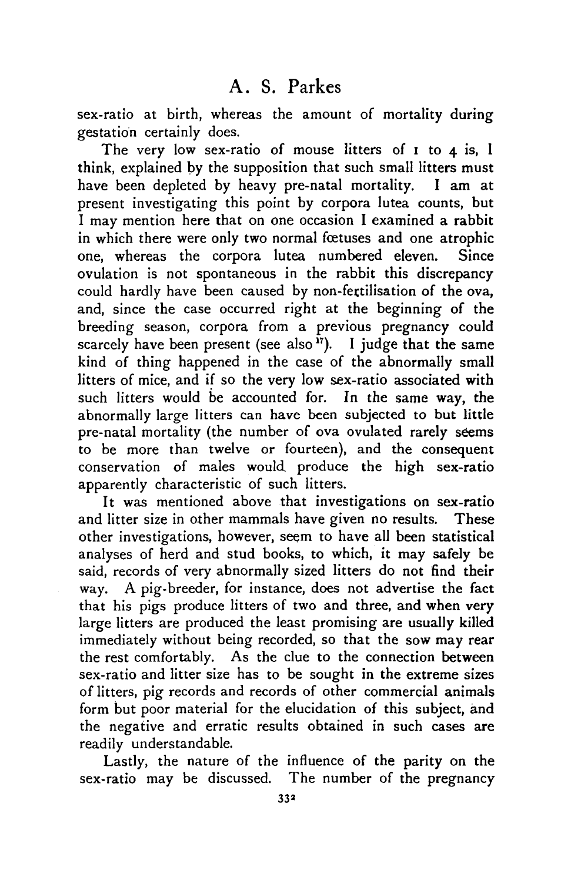sex-ratio at birth, whereas the amount of mortality during gestation certainly does.

The very low sex-ratio of mouse litters of  $I$  to  $4$  is,  $I$ think, explained by the supposition that such small litters must have been depleted by heavy pre-natal mortality. I am at present investigating this point by corpora lutea counts, but I may mention here that on one occasion I examined a rabbit in which there were only two normal foetuses and one atrophic one, whereas the corpora lutea numbered eleven. Since ovulation is not spontaneous in the rabbit this discrepancy could hardly have been caused by non-fertilisation of the ova, and, since the case occurred right at the beginning of the breeding season, corpora from a previous pregnancy could scarcely have been present (see also<sup>17</sup>). I judge that the same kind of thing happened in the case of the abnormally small litters of mice, and if so the very low sex-ratio associated with such litters would be accounted for. In the same way, the abnormally large litters can have been subjected to but little pre-natal mortality (the number of ova ovulated rarely seems to be more than twelve or fourteen), and the consequent conservation of males would, produce the high sex-ratio apparently characteristic of such litters.

It was mentioned above that investigations on sex-ratio and litter size in other mammals have given no results. These other investigations, however, seem to have all been statistical analyses of herd and stud books, to which, it may safely be said, records of very abnormally sized litters do not find their way. A pig-breeder, for instance, does not advertise the fact that his pigs produce litters of two and three, and when very large litters are produced the least promising are usually killed immediately without being recorded, so that the sow may rear the rest comfortably. As the clue to the connection between sex-ratio and litter size has to be sought in the extreme sizes of litters, pig records and records of other commercial animals form but poor material for the elucidation of this subject, and the negative and erratic results obtained in such cases are readily understandable.

Lastly, the nature of the influence of the parity on the sex-ratio may be discussed. The number of the pregnancy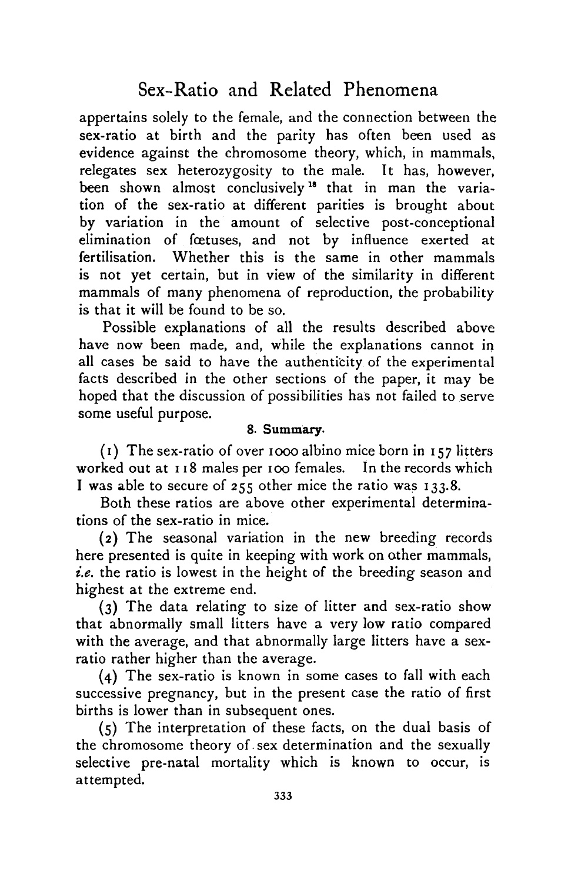# Sex-Ratio and Related Phenomena

appertains solely to the female, and the connection between the sex-ratio at birth and the parity has often been used as evidence against the chromosome theory, which, in mammals, relegates sex heterozygosity to the male. It has, however, been shown almost conclusively<sup>18</sup> that in man the variation of the sex-ratio at different parities is brought about by variation in the amount of selective post-conceptional elimination of foetuses, and not by influence exerted at fertilisation. Whether this is the same in other mammals is not yet certain, but in view of the similarity in different mammals of many phenomena of reproduction, the probability is that it will be found to be so.

Possible explanations of all the results described above have now been made, and, while the explanations cannot in all cases be said to have the authenticity of the experimental facts described in the other sections of the paper, it may be hoped that the discussion of possibilities has not failed to serve some useful purpose.

### 8. Summary.

(1) The sex-ratio of over iooo albino mice born in 157 litters worked out at 118 males per 100 females. In the records which I was able to secure of 255 other mice the ratio was 133.8.

Both these ratios are above other experimental determinations of the sex-ratio in mice.

(2) The seasonal variation in the new breeding records here presented is quite in keeping with work on other mammals, *i.e.* the ratio is lowest in the height of the breeding season and highest at the extreme end.

(3) The data relating to size of litter and sex-ratio show that abnormally small litters have a very low ratio compared with the average, and that abnormally large litters have a sexratio rather higher than the average.

(4) The sex-ratio is known in some cases to fall with each successive pregnancy, but in the present case the ratio of first births is lower than in subsequent ones.

(5) The interpretation of these facts, on the dual basis of the chromosome theory of sex determination and the sexually selective pre-natal mortality which is known to occur, is attempted.